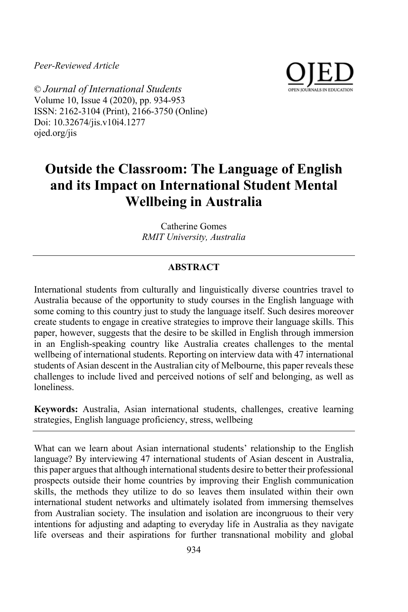*Peer-Reviewed Article*



© *Journal of International Students* Volume 10, Issue 4 (2020), pp. 934-953 ISSN: 2162-3104 (Print), 2166-3750 (Online) Doi: 10.32674/jis.v10i4.1277 ojed.org/jis

# **Outside the Classroom: The Language of English and its Impact on International Student Mental Wellbeing in Australia**

Catherine Gomes *RMIT University, Australia*

# **ABSTRACT**

International students from culturally and linguistically diverse countries travel to Australia because of the opportunity to study courses in the English language with some coming to this country just to study the language itself. Such desires moreover create students to engage in creative strategies to improve their language skills. This paper, however, suggests that the desire to be skilled in English through immersion in an English-speaking country like Australia creates challenges to the mental wellbeing of international students. Reporting on interview data with 47 international students of Asian descent in the Australian city of Melbourne, this paper reveals these challenges to include lived and perceived notions of self and belonging, as well as loneliness.

**Keywords:** Australia, Asian international students, challenges, creative learning strategies, English language proficiency, stress, wellbeing

What can we learn about Asian international students' relationship to the English language? By interviewing 47 international students of Asian descent in Australia, this paper argues that although international students desire to better their professional prospects outside their home countries by improving their English communication skills, the methods they utilize to do so leaves them insulated within their own international student networks and ultimately isolated from immersing themselves from Australian society. The insulation and isolation are incongruous to their very intentions for adjusting and adapting to everyday life in Australia as they navigate life overseas and their aspirations for further transnational mobility and global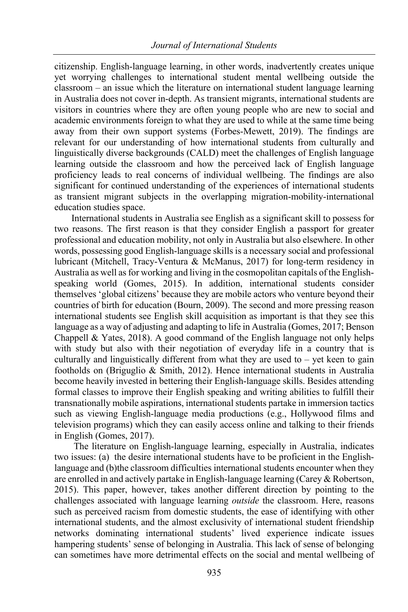citizenship. English-language learning, in other words, inadvertently creates unique yet worrying challenges to international student mental wellbeing outside the classroom – an issue which the literature on international student language learning in Australia does not cover in-depth. As transient migrants, international students are visitors in countries where they are often young people who are new to social and academic environments foreign to what they are used to while at the same time being away from their own support systems (Forbes-Mewett, 2019). The findings are relevant for our understanding of how international students from culturally and linguistically diverse backgrounds (CALD) meet the challenges of English language learning outside the classroom and how the perceived lack of English language proficiency leads to real concerns of individual wellbeing. The findings are also significant for continued understanding of the experiences of international students as transient migrant subjects in the overlapping migration-mobility-international education studies space.

International students in Australia see English as a significant skill to possess for two reasons. The first reason is that they consider English a passport for greater professional and education mobility, not only in Australia but also elsewhere. In other words, possessing good English-language skills is a necessary social and professional lubricant (Mitchell, Tracy-Ventura & McManus, 2017) for long-term residency in Australia as well as for working and living in the cosmopolitan capitals of the Englishspeaking world (Gomes, 2015). In addition, international students consider themselves 'global citizens' because they are mobile actors who venture beyond their countries of birth for education (Bourn, 2009). The second and more pressing reason international students see English skill acquisition as important is that they see this language as a way of adjusting and adapting to life in Australia (Gomes, 2017; Benson Chappell & Yates, 2018). A good command of the English language not only helps with study but also with their negotiation of everyday life in a country that is culturally and linguistically different from what they are used to  $-$  yet keen to gain footholds on (Briguglio & Smith, 2012). Hence international students in Australia become heavily invested in bettering their English-language skills. Besides attending formal classes to improve their English speaking and writing abilities to fulfill their transnationally mobile aspirations, international students partake in immersion tactics such as viewing English-language media productions (e.g., Hollywood films and television programs) which they can easily access online and talking to their friends in English (Gomes, 2017).

The literature on English-language learning, especially in Australia, indicates two issues: (a) the desire international students have to be proficient in the Englishlanguage and (b)the classroom difficulties international students encounter when they are enrolled in and actively partake in English-language learning (Carey & Robertson, 2015). This paper, however, takes another different direction by pointing to the challenges associated with language learning *outside* the classroom. Here, reasons such as perceived racism from domestic students, the ease of identifying with other international students, and the almost exclusivity of international student friendship networks dominating international students' lived experience indicate issues hampering students' sense of belonging in Australia. This lack of sense of belonging can sometimes have more detrimental effects on the social and mental wellbeing of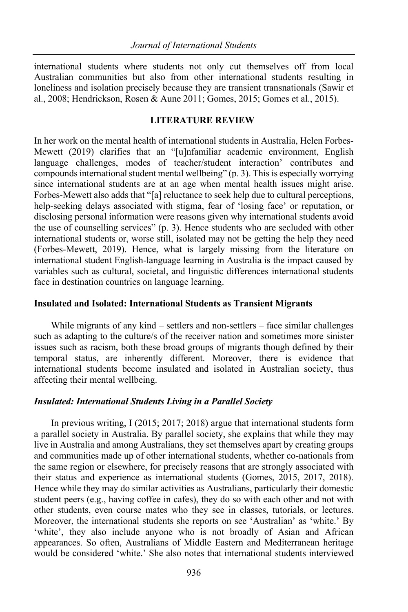international students where students not only cut themselves off from local Australian communities but also from other international students resulting in loneliness and isolation precisely because they are transient transnationals (Sawir et al., 2008; Hendrickson, Rosen & Aune 2011; Gomes, 2015; Gomes et al., 2015).

#### **LITERATURE REVIEW**

In her work on the mental health of international students in Australia, Helen Forbes-Mewett (2019) clarifies that an "[u]nfamiliar academic environment, English language challenges, modes of teacher/student interaction' contributes and compounds international student mental wellbeing" (p. 3). This is especially worrying since international students are at an age when mental health issues might arise. Forbes-Mewett also adds that "[a] reluctance to seek help due to cultural perceptions, help-seeking delays associated with stigma, fear of 'losing face' or reputation, or disclosing personal information were reasons given why international students avoid the use of counselling services" (p. 3). Hence students who are secluded with other international students or, worse still, isolated may not be getting the help they need (Forbes-Mewett, 2019). Hence, what is largely missing from the literature on international student English-language learning in Australia is the impact caused by variables such as cultural, societal, and linguistic differences international students face in destination countries on language learning.

# **Insulated and Isolated: International Students as Transient Migrants**

While migrants of any kind – settlers and non-settlers – face similar challenges such as adapting to the culture/s of the receiver nation and sometimes more sinister issues such as racism, both these broad groups of migrants though defined by their temporal status, are inherently different. Moreover, there is evidence that international students become insulated and isolated in Australian society, thus affecting their mental wellbeing.

#### *Insulated: International Students Living in a Parallel Society*

In previous writing, I (2015; 2017; 2018) argue that international students form a parallel society in Australia. By parallel society, she explains that while they may live in Australia and among Australians, they set themselves apart by creating groups and communities made up of other international students, whether co-nationals from the same region or elsewhere, for precisely reasons that are strongly associated with their status and experience as international students (Gomes, 2015, 2017, 2018). Hence while they may do similar activities as Australians, particularly their domestic student peers (e.g., having coffee in cafes), they do so with each other and not with other students, even course mates who they see in classes, tutorials, or lectures. Moreover, the international students she reports on see 'Australian' as 'white.' By 'white', they also include anyone who is not broadly of Asian and African appearances. So often, Australians of Middle Eastern and Mediterranean heritage would be considered 'white.' She also notes that international students interviewed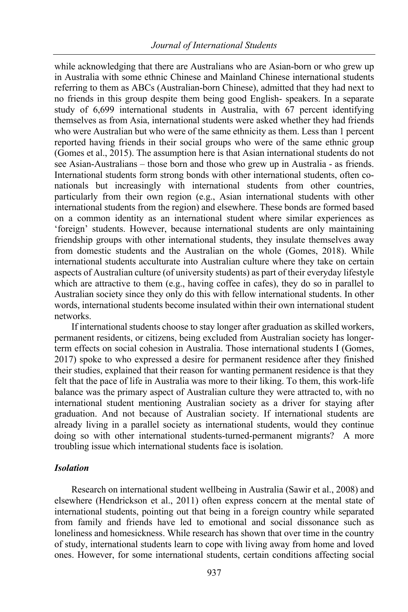while acknowledging that there are Australians who are Asian-born or who grew up in Australia with some ethnic Chinese and Mainland Chinese international students referring to them as ABCs (Australian-born Chinese), admitted that they had next to no friends in this group despite them being good English- speakers. In a separate study of 6,699 international students in Australia, with 67 percent identifying themselves as from Asia, international students were asked whether they had friends who were Australian but who were of the same ethnicity as them. Less than 1 percent reported having friends in their social groups who were of the same ethnic group (Gomes et al., 2015). The assumption here is that Asian international students do not see Asian-Australians – those born and those who grew up in Australia - as friends. International students form strong bonds with other international students, often conationals but increasingly with international students from other countries, particularly from their own region (e.g., Asian international students with other international students from the region) and elsewhere. These bonds are formed based on a common identity as an international student where similar experiences as 'foreign' students. However, because international students are only maintaining friendship groups with other international students, they insulate themselves away from domestic students and the Australian on the whole (Gomes, 2018). While international students acculturate into Australian culture where they take on certain aspects of Australian culture (of university students) as part of their everyday lifestyle which are attractive to them (e.g., having coffee in cafes), they do so in parallel to Australian society since they only do this with fellow international students. In other words, international students become insulated within their own international student networks.

If international students choose to stay longer after graduation as skilled workers, permanent residents, or citizens, being excluded from Australian society has longerterm effects on social cohesion in Australia. Those international students I (Gomes, 2017) spoke to who expressed a desire for permanent residence after they finished their studies, explained that their reason for wanting permanent residence is that they felt that the pace of life in Australia was more to their liking. To them, this work-life balance was the primary aspect of Australian culture they were attracted to, with no international student mentioning Australian society as a driver for staying after graduation. And not because of Australian society. If international students are already living in a parallel society as international students, would they continue doing so with other international students-turned-permanent migrants? A more troubling issue which international students face is isolation.

#### *Isolation*

Research on international student wellbeing in Australia (Sawir et al., 2008) and elsewhere (Hendrickson et al., 2011) often express concern at the mental state of international students, pointing out that being in a foreign country while separated from family and friends have led to emotional and social dissonance such as loneliness and homesickness. While research has shown that over time in the country of study, international students learn to cope with living away from home and loved ones. However, for some international students, certain conditions affecting social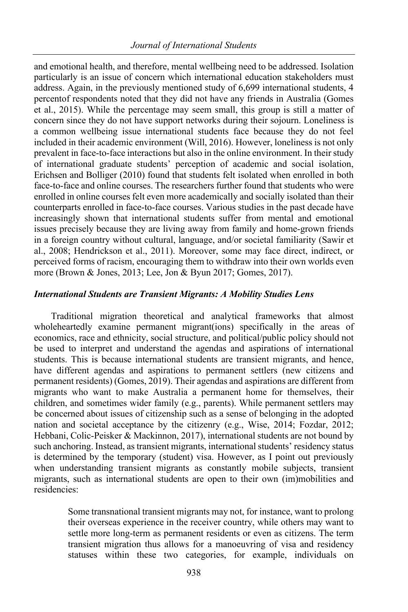and emotional health, and therefore, mental wellbeing need to be addressed. Isolation particularly is an issue of concern which international education stakeholders must address. Again, in the previously mentioned study of 6,699 international students, 4 percentof respondents noted that they did not have any friends in Australia (Gomes et al., 2015). While the percentage may seem small, this group is still a matter of concern since they do not have support networks during their sojourn. Loneliness is a common wellbeing issue international students face because they do not feel included in their academic environment (Will, 2016). However, loneliness is not only prevalent in face-to-face interactions but also in the online environment. In their study of international graduate students' perception of academic and social isolation, Erichsen and Bolliger (2010) found that students felt isolated when enrolled in both face-to-face and online courses. The researchers further found that students who were enrolled in online courses felt even more academically and socially isolated than their counterparts enrolled in face-to-face courses. Various studies in the past decade have increasingly shown that international students suffer from mental and emotional issues precisely because they are living away from family and home-grown friends in a foreign country without cultural, language, and/or societal familiarity (Sawir et al., 2008; Hendrickson et al., 2011). Moreover, some may face direct, indirect, or perceived forms of racism, encouraging them to withdraw into their own worlds even more (Brown & Jones, 2013; Lee, Jon & Byun 2017; Gomes, 2017).

# *International Students are Transient Migrants: A Mobility Studies Lens*

Traditional migration theoretical and analytical frameworks that almost wholeheartedly examine permanent migrant(ions) specifically in the areas of economics, race and ethnicity, social structure, and political/public policy should not be used to interpret and understand the agendas and aspirations of international students. This is because international students are transient migrants, and hence, have different agendas and aspirations to permanent settlers (new citizens and permanent residents) (Gomes, 2019). Their agendas and aspirations are different from migrants who want to make Australia a permanent home for themselves, their children, and sometimes wider family (e.g., parents). While permanent settlers may be concerned about issues of citizenship such as a sense of belonging in the adopted nation and societal acceptance by the citizenry (e.g., Wise, 2014; Fozdar, 2012; Hebbani, Colic-Peisker & Mackinnon, 2017), international students are not bound by such anchoring. Instead, as transient migrants, international students' residency status is determined by the temporary (student) visa. However, as I point out previously when understanding transient migrants as constantly mobile subjects, transient migrants, such as international students are open to their own (im)mobilities and residencies:

> Some transnational transient migrants may not, for instance, want to prolong their overseas experience in the receiver country, while others may want to settle more long-term as permanent residents or even as citizens. The term transient migration thus allows for a manoeuvring of visa and residency statuses within these two categories, for example, individuals on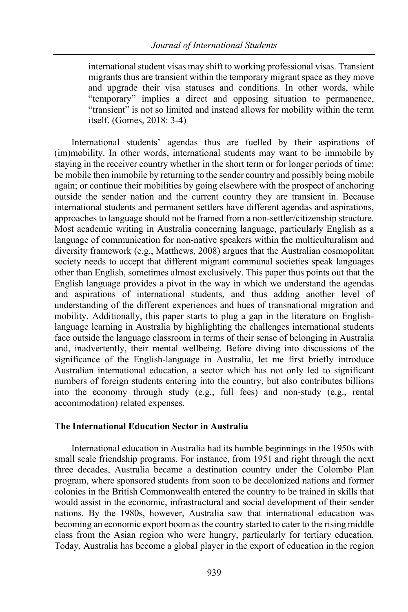international student visas may shift to working professional visas. Transient migrants thus are transient within the temporary migrant space as they move and upgrade their visa statuses and conditions. In other words, while "temporary" implies a direct and opposing situation to permanence, "transient" is not so limited and instead allows for mobility within the term itself. (Gomes, 2018: 3-4)

International students' agendas thus are fuelled by their aspirations of (im)mobility. In other words, international students may want to be immobile by staying in the receiver country whether in the short term or for longer periods of time; be mobile then immobile by returning to the sender country and possibly being mobile again; or continue their mobilities by going elsewhere with the prospect of anchoring outside the sender nation and the current country they are transient in. Because international students and permanent settlers have different agendas and aspirations, approaches to language should not be framed from a non-settler/citizenship structure. Most academic writing in Australia concerning language, particularly English as a language of communication for non-native speakers within the multiculturalism and diversity framework (e.g., Matthews, 2008) argues that the Australian cosmopolitan society needs to accept that different migrant communal societies speak languages other than English, sometimes almost exclusively. This paper thus points out that the English language provides a pivot in the way in which we understand the agendas and aspirations of international students, and thus adding another level of understanding of the different experiences and hues of transnational migration and mobility. Additionally, this paper starts to plug a gap in the literature on Englishlanguage learning in Australia by highlighting the challenges international students face outside the language classroom in terms of their sense of belonging in Australia and, inadvertently, their mental wellbeing. Before diving into discussions of the significance of the English-language in Australia, let me first briefly introduce Australian international education, a sector which has not only led to significant numbers of foreign students entering into the country, but also contributes billions into the economy through study (e.g., full fees) and non-study (e.g., rental accommodation) related expenses.

# **The International Education Sector in Australia**

International education in Australia had its humble beginnings in the 1950s with small scale friendship programs. For instance, from 1951 and right through the next three decades, Australia became a destination country under the Colombo Plan program, where sponsored students from soon to be decolonized nations and former colonies in the British Commonwealth entered the country to be trained in skills that would assist in the economic, infrastructural and social development of their sender nations. By the 1980s, however, Australia saw that international education was becoming an economic export boom as the country started to cater to the rising middle class from the Asian region who were hungry, particularly for tertiary education. Today, Australia has become a global player in the export of education in the region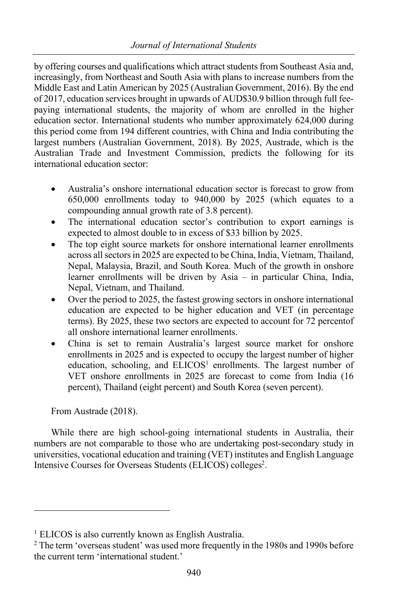by offering courses and qualifications which attract students from Southeast Asia and, increasingly, from Northeast and South Asia with plans to increase numbers from the Middle East and Latin American by 2025 (Australian Government, 2016). By the end of 2017, education services brought in upwards of AUD\$30.9 billion through full feepaying international students, the majority of whom are enrolled in the higher education sector. International students who number approximately 624,000 during this period come from 194 different countries, with China and India contributing the largest numbers (Australian Government, 2018). By 2025, Austrade, which is the Australian Trade and Investment Commission, predicts the following for its international education sector:

- Australia's onshore international education sector is forecast to grow from 650,000 enrollments today to 940,000 by 2025 (which equates to a compounding annual growth rate of 3.8 percent).
- The international education sector's contribution to export earnings is expected to almost double to in excess of \$33 billion by 2025.
- The top eight source markets for onshore international learner enrollments across all sectors in 2025 are expected to be China, India, Vietnam, Thailand, Nepal, Malaysia, Brazil, and South Korea. Much of the growth in onshore learner enrollments will be driven by Asia – in particular China, India, Nepal, Vietnam, and Thailand.
- Over the period to 2025, the fastest growing sectors in onshore international education are expected to be higher education and VET (in percentage terms). By 2025, these two sectors are expected to account for 72 percentof all onshore international learner enrollments.
- China is set to remain Australia's largest source market for onshore enrollments in 2025 and is expected to occupy the largest number of higher education, schooling, and ELICOS<sup>1</sup> enrollments. The largest number of VET onshore enrollments in 2025 are forecast to come from India (16 percent), Thailand (eight percent) and South Korea (seven percent).

From Austrade (2018).

While there are high school-going international students in Australia, their numbers are not comparable to those who are undertaking post-secondary study in universities, vocational education and training (VET) institutes and English Language Intensive Courses for Overseas Students (ELICOS) colleges<sup>2</sup>.

<sup>&</sup>lt;sup>1</sup> ELICOS is also currently known as English Australia.

 $2$  The term 'overseas student' was used more frequently in the 1980s and 1990s before the current term 'international student.'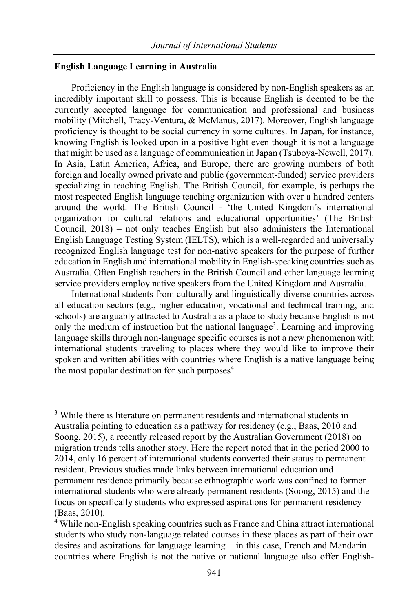# **English Language Learning in Australia**

Proficiency in the English language is considered by non-English speakers as an incredibly important skill to possess. This is because English is deemed to be the currently accepted language for communication and professional and business mobility (Mitchell, Tracy-Ventura, & McManus, 2017). Moreover, English language proficiency is thought to be social currency in some cultures. In Japan, for instance, knowing English is looked upon in a positive light even though it is not a language that might be used as a language of communication in Japan (Tsuboya-Newell, 2017). In Asia, Latin America, Africa, and Europe, there are growing numbers of both foreign and locally owned private and public (government-funded) service providers specializing in teaching English. The British Council, for example, is perhaps the most respected English language teaching organization with over a hundred centers around the world. The British Council - 'the United Kingdom's international organization for cultural relations and educational opportunities' (The British Council, 2018) – not only teaches English but also administers the International English Language Testing System (IELTS), which is a well-regarded and universally recognized English language test for non-native speakers for the purpose of further education in English and international mobility in English-speaking countries such as Australia. Often English teachers in the British Council and other language learning service providers employ native speakers from the United Kingdom and Australia.

International students from culturally and linguistically diverse countries across all education sectors (e.g., higher education, vocational and technical training, and schools) are arguably attracted to Australia as a place to study because English is not only the medium of instruction but the national language<sup>3</sup>. Learning and improving language skills through non-language specific courses is not a new phenomenon with international students traveling to places where they would like to improve their spoken and written abilities with countries where English is a native language being the most popular destination for such purposes $4$ .

<sup>&</sup>lt;sup>3</sup> While there is literature on permanent residents and international students in Australia pointing to education as a pathway for residency (e.g., Baas, 2010 and Soong, 2015), a recently released report by the Australian Government (2018) on migration trends tells another story. Here the report noted that in the period 2000 to 2014, only 16 percent of international students converted their status to permanent resident. Previous studies made links between international education and permanent residence primarily because ethnographic work was confined to former international students who were already permanent residents (Soong, 2015) and the focus on specifically students who expressed aspirations for permanent residency (Baas, 2010).<br><sup>4</sup> While non-English speaking countries such as France and China attract international

students who study non-language related courses in these places as part of their own desires and aspirations for language learning – in this case, French and Mandarin – countries where English is not the native or national language also offer English-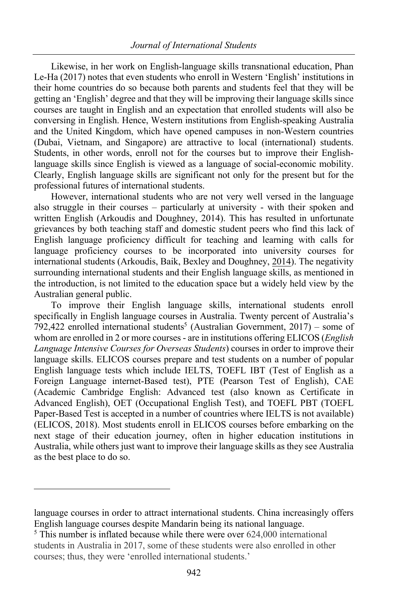Likewise, in her work on English-language skills transnational education, Phan Le-Ha (2017) notes that even students who enroll in Western 'English' institutions in their home countries do so because both parents and students feel that they will be getting an 'English' degree and that they will be improving their language skills since courses are taught in English and an expectation that enrolled students will also be conversing in English. Hence, Western institutions from English-speaking Australia and the United Kingdom, which have opened campuses in non-Western countries (Dubai, Vietnam, and Singapore) are attractive to local (international) students. Students, in other words, enroll not for the courses but to improve their Englishlanguage skills since English is viewed as a language of social-economic mobility. Clearly, English language skills are significant not only for the present but for the professional futures of international students.

However, international students who are not very well versed in the language also struggle in their courses – particularly at university - with their spoken and written English (Arkoudis and Doughney, 2014). This has resulted in unfortunate grievances by both teaching staff and domestic student peers who find this lack of English language proficiency difficult for teaching and learning with calls for language proficiency courses to be incorporated into university courses for international students (Arkoudis, Baik, Bexley and Doughney, 2014). The negativity surrounding international students and their English language skills, as mentioned in the introduction, is not limited to the education space but a widely held view by the Australian general public.

To improve their English language skills, international students enroll specifically in English language courses in Australia. Twenty percent of Australia's 792,422 enrolled international students<sup>5</sup> (Australian Government, 2017) – some of whom are enrolled in 2 or more courses - are in institutions offering ELICOS (*English Language Intensive Courses for Overseas Students*) courses in order to improve their language skills. ELICOS courses prepare and test students on a number of popular English language tests which include IELTS, TOEFL IBT (Test of English as a Foreign Language internet-Based test), PTE (Pearson Test of English), CAE (Academic Cambridge English: Advanced test (also known as Certificate in Advanced English), OET (Occupational English Test), and TOEFL PBT (TOEFL Paper-Based Test is accepted in a number of countries where IELTS is not available) (ELICOS, 2018). Most students enroll in ELICOS courses before embarking on the next stage of their education journey, often in higher education institutions in Australia, while others just want to improve their language skills as they see Australia as the best place to do so.

language courses in order to attract international students. China increasingly offers English language courses despite Mandarin being its national language.

 $5$  This number is inflated because while there were over 624,000 international students in Australia in 2017, some of these students were also enrolled in other courses; thus, they were 'enrolled international students.'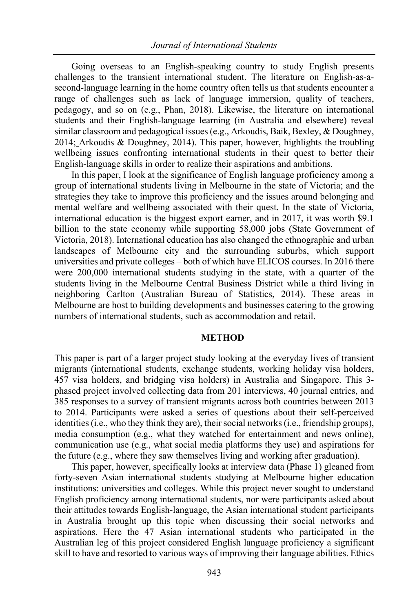Going overseas to an English-speaking country to study English presents challenges to the transient international student. The literature on English-as-asecond-language learning in the home country often tells us that students encounter a range of challenges such as lack of language immersion, quality of teachers, pedagogy, and so on (e.g., Phan, 2018). Likewise, the literature on international students and their English-language learning (in Australia and elsewhere) reveal similar classroom and pedagogical issues (e.g., Arkoudis, Baik, Bexley, & Doughney, 2014; Arkoudis & Doughney, 2014). This paper, however, highlights the troubling wellbeing issues confronting international students in their quest to better their English-language skills in order to realize their aspirations and ambitions.

In this paper, I look at the significance of English language proficiency among a group of international students living in Melbourne in the state of Victoria; and the strategies they take to improve this proficiency and the issues around belonging and mental welfare and wellbeing associated with their quest. In the state of Victoria, international education is the biggest export earner, and in 2017, it was worth \$9.1 billion to the state economy while supporting 58,000 jobs (State Government of Victoria, 2018). International education has also changed the ethnographic and urban landscapes of Melbourne city and the surrounding suburbs, which support universities and private colleges – both of which have ELICOS courses. In 2016 there were 200,000 international students studying in the state, with a quarter of the students living in the Melbourne Central Business District while a third living in neighboring Carlton (Australian Bureau of Statistics, 2014). These areas in Melbourne are host to building developments and businesses catering to the growing numbers of international students, such as accommodation and retail.

#### **METHOD**

This paper is part of a larger project study looking at the everyday lives of transient migrants (international students, exchange students, working holiday visa holders, 457 visa holders, and bridging visa holders) in Australia and Singapore. This 3 phased project involved collecting data from 201 interviews, 40 journal entries, and 385 responses to a survey of transient migrants across both countries between 2013 to 2014. Participants were asked a series of questions about their self-perceived identities (i.e., who they think they are), their social networks (i.e., friendship groups), media consumption (e.g., what they watched for entertainment and news online), communication use (e.g., what social media platforms they use) and aspirations for the future (e.g., where they saw themselves living and working after graduation).

This paper, however, specifically looks at interview data (Phase 1) gleaned from forty-seven Asian international students studying at Melbourne higher education institutions: universities and colleges. While this project never sought to understand English proficiency among international students, nor were participants asked about their attitudes towards English-language, the Asian international student participants in Australia brought up this topic when discussing their social networks and aspirations. Here the 47 Asian international students who participated in the Australian leg of this project considered English language proficiency a significant skill to have and resorted to various ways of improving their language abilities. Ethics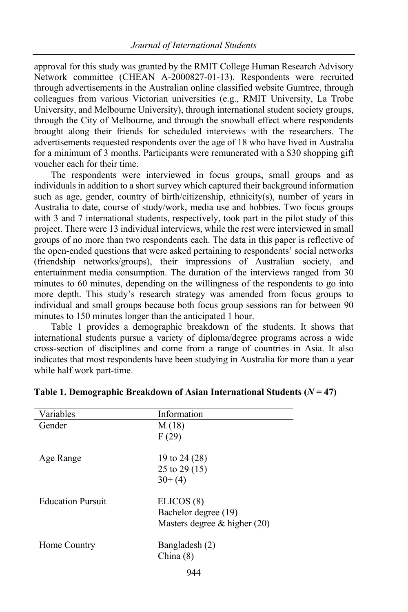approval for this study was granted by the RMIT College Human Research Advisory Network committee (CHEAN A-2000827-01-13). Respondents were recruited through advertisements in the Australian online classified website Gumtree, through colleagues from various Victorian universities (e.g., RMIT University, La Trobe University, and Melbourne University), through international student society groups, through the City of Melbourne, and through the snowball effect where respondents brought along their friends for scheduled interviews with the researchers. The advertisements requested respondents over the age of 18 who have lived in Australia for a minimum of 3 months. Participants were remunerated with a \$30 shopping gift voucher each for their time.

The respondents were interviewed in focus groups, small groups and as individuals in addition to a short survey which captured their background information such as age, gender, country of birth/citizenship, ethnicity(s), number of years in Australia to date, course of study/work, media use and hobbies. Two focus groups with 3 and 7 international students, respectively, took part in the pilot study of this project. There were 13 individual interviews, while the rest were interviewed in small groups of no more than two respondents each. The data in this paper is reflective of the open-ended questions that were asked pertaining to respondents' social networks (friendship networks/groups), their impressions of Australian society, and entertainment media consumption. The duration of the interviews ranged from 30 minutes to 60 minutes, depending on the willingness of the respondents to go into more depth. This study's research strategy was amended from focus groups to individual and small groups because both focus group sessions ran for between 90 minutes to 150 minutes longer than the anticipated 1 hour.

Table 1 provides a demographic breakdown of the students. It shows that international students pursue a variety of diploma/degree programs across a wide cross-section of disciplines and come from a range of countries in Asia. It also indicates that most respondents have been studying in Australia for more than a year while half work part-time.

| Variables                | Information                    |
|--------------------------|--------------------------------|
| Gender                   | M(18)                          |
|                          | F(29)                          |
| Age Range                | 19 to 24 (28)                  |
|                          | 25 to 29 $(15)$                |
|                          | $30+ (4)$                      |
| <b>Education Pursuit</b> | ELICOS (8)                     |
|                          | Bachelor degree (19)           |
|                          | Masters degree $&$ higher (20) |
| Home Country             | Bangladesh (2)<br>China(8)     |
|                          | 944                            |

#### **Table 1. Demographic Breakdown of Asian International Students (***N* **= 47)**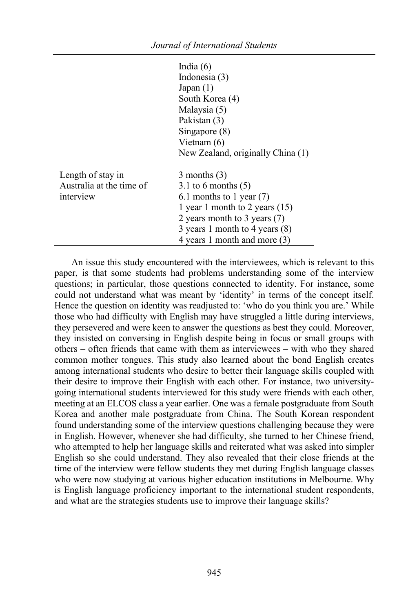|                                                            | India $(6)$<br>Indonesia (3)<br>Japan(1)<br>South Korea (4)<br>Malaysia (5)<br>Pakistan (3)<br>Singapore (8)<br>Vietnam $(6)$<br>New Zealand, originally China (1)                                            |
|------------------------------------------------------------|---------------------------------------------------------------------------------------------------------------------------------------------------------------------------------------------------------------|
| Length of stay in<br>Australia at the time of<br>interview | $3$ months $(3)$<br>3.1 to 6 months $(5)$<br>6.1 months to 1 year $(7)$<br>1 year 1 month to 2 years $(15)$<br>2 years month to 3 years (7)<br>3 years 1 month to 4 years (8)<br>4 years 1 month and more (3) |

An issue this study encountered with the interviewees, which is relevant to this paper, is that some students had problems understanding some of the interview questions; in particular, those questions connected to identity. For instance, some could not understand what was meant by 'identity' in terms of the concept itself. Hence the question on identity was readjusted to: 'who do you think you are.' While those who had difficulty with English may have struggled a little during interviews, they persevered and were keen to answer the questions as best they could. Moreover, they insisted on conversing in English despite being in focus or small groups with others – often friends that came with them as interviewees – with who they shared common mother tongues. This study also learned about the bond English creates among international students who desire to better their language skills coupled with their desire to improve their English with each other. For instance, two universitygoing international students interviewed for this study were friends with each other, meeting at an ELCOS class a year earlier. One was a female postgraduate from South Korea and another male postgraduate from China. The South Korean respondent found understanding some of the interview questions challenging because they were in English. However, whenever she had difficulty, she turned to her Chinese friend, who attempted to help her language skills and reiterated what was asked into simpler English so she could understand. They also revealed that their close friends at the time of the interview were fellow students they met during English language classes who were now studying at various higher education institutions in Melbourne. Why is English language proficiency important to the international student respondents, and what are the strategies students use to improve their language skills?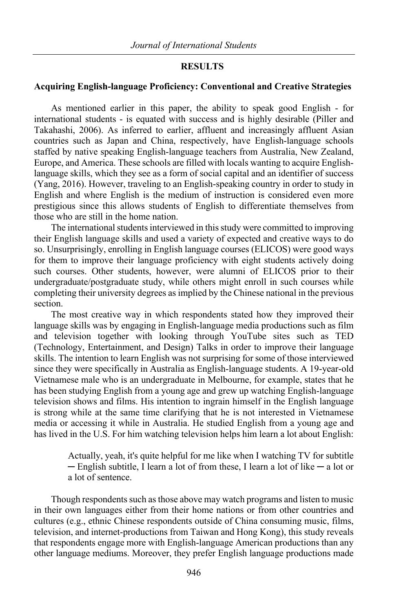#### **RESULTS**

#### **Acquiring English-language Proficiency: Conventional and Creative Strategies**

As mentioned earlier in this paper, the ability to speak good English - for international students - is equated with success and is highly desirable (Piller and Takahashi, 2006). As inferred to earlier, affluent and increasingly affluent Asian countries such as Japan and China, respectively, have English-language schools staffed by native speaking English-language teachers from Australia, New Zealand, Europe, and America. These schools are filled with locals wanting to acquire Englishlanguage skills, which they see as a form of social capital and an identifier of success (Yang, 2016). However, traveling to an English-speaking country in order to study in English and where English is the medium of instruction is considered even more prestigious since this allows students of English to differentiate themselves from those who are still in the home nation.

The international students interviewed in this study were committed to improving their English language skills and used a variety of expected and creative ways to do so. Unsurprisingly, enrolling in English language courses (ELICOS) were good ways for them to improve their language proficiency with eight students actively doing such courses. Other students, however, were alumni of ELICOS prior to their undergraduate/postgraduate study, while others might enroll in such courses while completing their university degrees as implied by the Chinese national in the previous section.

The most creative way in which respondents stated how they improved their language skills was by engaging in English-language media productions such as film and television together with looking through YouTube sites such as TED (Technology, Entertainment, and Design) Talks in order to improve their language skills. The intention to learn English was not surprising for some of those interviewed since they were specifically in Australia as English-language students. A 19-year-old Vietnamese male who is an undergraduate in Melbourne, for example, states that he has been studying English from a young age and grew up watching English-language television shows and films. His intention to ingrain himself in the English language is strong while at the same time clarifying that he is not interested in Vietnamese media or accessing it while in Australia. He studied English from a young age and has lived in the U.S. For him watching television helps him learn a lot about English:

> Actually, yeah, it's quite helpful for me like when I watching TV for subtitle ─ English subtitle, I learn a lot of from these, I learn a lot of like ─ a lot or a lot of sentence.

Though respondents such as those above may watch programs and listen to music in their own languages either from their home nations or from other countries and cultures (e.g., ethnic Chinese respondents outside of China consuming music, films, television, and internet-productions from Taiwan and Hong Kong), this study reveals that respondents engage more with English-language American productions than any other language mediums. Moreover, they prefer English language productions made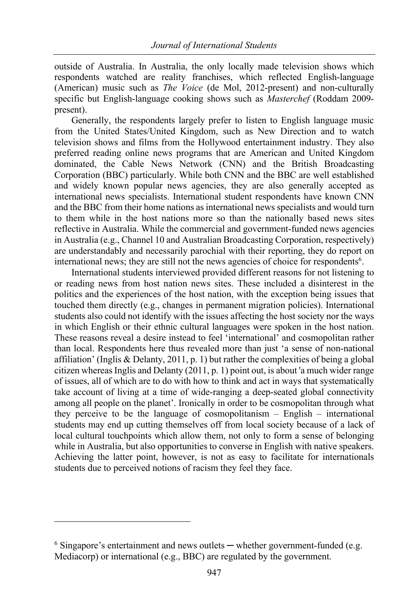outside of Australia. In Australia, the only locally made television shows which respondents watched are reality franchises, which reflected English-language (American) music such as *The Voice* (de Mol, 2012-present) and non-culturally specific but English-language cooking shows such as *Masterchef* (Roddam 2009 present).

Generally, the respondents largely prefer to listen to English language music from the United States/United Kingdom, such as New Direction and to watch television shows and films from the Hollywood entertainment industry. They also preferred reading online news programs that are American and United Kingdom dominated, the Cable News Network (CNN) and the British Broadcasting Corporation (BBC) particularly. While both CNN and the BBC are well established and widely known popular news agencies, they are also generally accepted as international news specialists. International student respondents have known CNN and the BBC from their home nations as international news specialists and would turn to them while in the host nations more so than the nationally based news sites reflective in Australia. While the commercial and government-funded news agencies in Australia (e.g., Channel 10 and Australian Broadcasting Corporation, respectively) are understandably and necessarily parochial with their reporting, they do report on international news; they are still not the news agencies of choice for respondents<sup>6</sup>.

International students interviewed provided different reasons for not listening to or reading news from host nation news sites. These included a disinterest in the politics and the experiences of the host nation, with the exception being issues that touched them directly (e.g., changes in permanent migration policies). International students also could not identify with the issues affecting the host society nor the ways in which English or their ethnic cultural languages were spoken in the host nation. These reasons reveal a desire instead to feel 'international' and cosmopolitan rather than local. Respondents here thus revealed more than just 'a sense of non-national affiliation' (Inglis & Delanty, 2011, p. 1) but rather the complexities of being a global citizen whereas Inglis and Delanty (2011, p. 1) point out, is about 'a much wider range of issues, all of which are to do with how to think and act in ways that systematically take account of living at a time of wide-ranging a deep-seated global connectivity among all people on the planet'. Ironically in order to be cosmopolitan through what they perceive to be the language of cosmopolitanism – English – international students may end up cutting themselves off from local society because of a lack of local cultural touchpoints which allow them, not only to form a sense of belonging while in Australia, but also opportunities to converse in English with native speakers. Achieving the latter point, however, is not as easy to facilitate for internationals students due to perceived notions of racism they feel they face.

 $6$  Singapore's entertainment and news outlets — whether government-funded (e.g. Mediacorp) or international (e.g., BBC) are regulated by the government.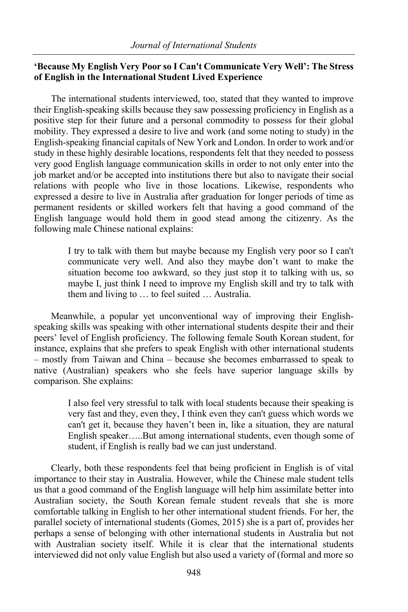# **'Because My English Very Poor so I Can't Communicate Very Well': The Stress of English in the International Student Lived Experience**

The international students interviewed, too, stated that they wanted to improve their English-speaking skills because they saw possessing proficiency in English as a positive step for their future and a personal commodity to possess for their global mobility. They expressed a desire to live and work (and some noting to study) in the English-speaking financial capitals of New York and London. In order to work and/or study in these highly desirable locations, respondents felt that they needed to possess very good English language communication skills in order to not only enter into the job market and/or be accepted into institutions there but also to navigate their social relations with people who live in those locations. Likewise, respondents who expressed a desire to live in Australia after graduation for longer periods of time as permanent residents or skilled workers felt that having a good command of the English language would hold them in good stead among the citizenry. As the following male Chinese national explains:

> I try to talk with them but maybe because my English very poor so I can't communicate very well. And also they maybe don't want to make the situation become too awkward, so they just stop it to talking with us, so maybe I, just think I need to improve my English skill and try to talk with them and living to … to feel suited … Australia.

Meanwhile, a popular yet unconventional way of improving their Englishspeaking skills was speaking with other international students despite their and their peers' level of English proficiency. The following female South Korean student, for instance, explains that she prefers to speak English with other international students – mostly from Taiwan and China – because she becomes embarrassed to speak to native (Australian) speakers who she feels have superior language skills by comparison. She explains:

> I also feel very stressful to talk with local students because their speaking is very fast and they, even they, I think even they can't guess which words we can't get it, because they haven't been in, like a situation, they are natural English speaker…..But among international students, even though some of student, if English is really bad we can just understand.

Clearly, both these respondents feel that being proficient in English is of vital importance to their stay in Australia. However, while the Chinese male student tells us that a good command of the English language will help him assimilate better into Australian society, the South Korean female student reveals that she is more comfortable talking in English to her other international student friends. For her, the parallel society of international students (Gomes, 2015) she is a part of, provides her perhaps a sense of belonging with other international students in Australia but not with Australian society itself. While it is clear that the international students interviewed did not only value English but also used a variety of (formal and more so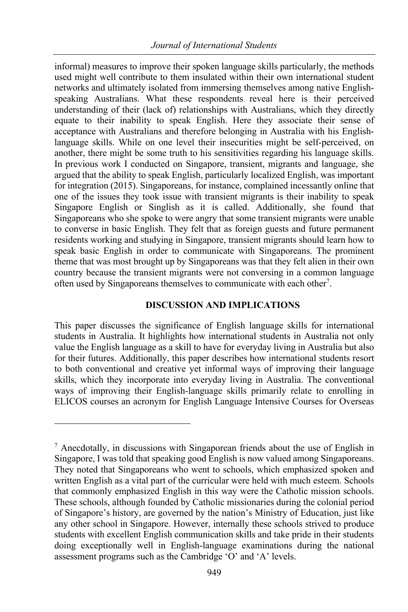informal) measures to improve their spoken language skills particularly, the methods used might well contribute to them insulated within their own international student networks and ultimately isolated from immersing themselves among native Englishspeaking Australians. What these respondents reveal here is their perceived understanding of their (lack of) relationships with Australians, which they directly equate to their inability to speak English. Here they associate their sense of acceptance with Australians and therefore belonging in Australia with his Englishlanguage skills. While on one level their insecurities might be self-perceived, on another, there might be some truth to his sensitivities regarding his language skills. In previous work I conducted on Singapore, transient, migrants and language, she argued that the ability to speak English, particularly localized English, was important for integration (2015). Singaporeans, for instance, complained incessantly online that one of the issues they took issue with transient migrants is their inability to speak Singapore English or Singlish as it is called. Additionally, she found that Singaporeans who she spoke to were angry that some transient migrants were unable to converse in basic English. They felt that as foreign guests and future permanent residents working and studying in Singapore, transient migrants should learn how to speak basic English in order to communicate with Singaporeans. The prominent theme that was most brought up by Singaporeans was that they felt alien in their own country because the transient migrants were not conversing in a common language often used by Singaporeans themselves to communicate with each other<sup>7</sup>.

# **DISCUSSION AND IMPLICATIONS**

This paper discusses the significance of English language skills for international students in Australia. It highlights how international students in Australia not only value the English language as a skill to have for everyday living in Australia but also for their futures. Additionally, this paper describes how international students resort to both conventional and creative yet informal ways of improving their language skills, which they incorporate into everyday living in Australia. The conventional ways of improving their English-language skills primarily relate to enrolling in ELICOS courses an acronym for English Language Intensive Courses for Overseas

 $<sup>7</sup>$  Anecdotally, in discussions with Singaporean friends about the use of English in</sup> Singapore, I was told that speaking good English is now valued among Singaporeans. They noted that Singaporeans who went to schools, which emphasized spoken and written English as a vital part of the curricular were held with much esteem. Schools that commonly emphasized English in this way were the Catholic mission schools. These schools, although founded by Catholic missionaries during the colonial period of Singapore's history, are governed by the nation's Ministry of Education, just like any other school in Singapore. However, internally these schools strived to produce students with excellent English communication skills and take pride in their students doing exceptionally well in English-language examinations during the national assessment programs such as the Cambridge 'O' and 'A' levels.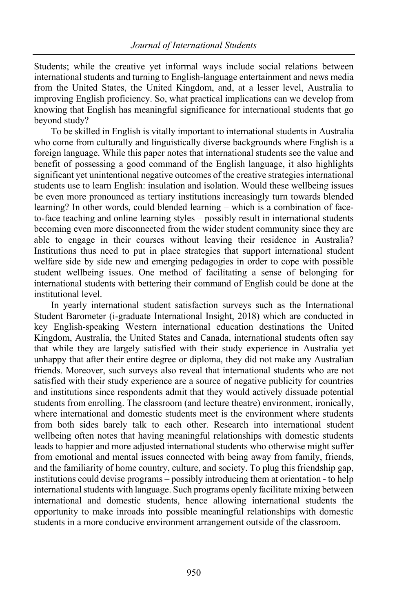Students; while the creative yet informal ways include social relations between international students and turning to English-language entertainment and news media from the United States, the United Kingdom, and, at a lesser level, Australia to improving English proficiency. So, what practical implications can we develop from knowing that English has meaningful significance for international students that go beyond study?

To be skilled in English is vitally important to international students in Australia who come from culturally and linguistically diverse backgrounds where English is a foreign language. While this paper notes that international students see the value and benefit of possessing a good command of the English language, it also highlights significant yet unintentional negative outcomes of the creative strategies international students use to learn English: insulation and isolation. Would these wellbeing issues be even more pronounced as tertiary institutions increasingly turn towards blended learning? In other words, could blended learning – which is a combination of faceto-face teaching and online learning styles – possibly result in international students becoming even more disconnected from the wider student community since they are able to engage in their courses without leaving their residence in Australia? Institutions thus need to put in place strategies that support international student welfare side by side new and emerging pedagogies in order to cope with possible student wellbeing issues. One method of facilitating a sense of belonging for international students with bettering their command of English could be done at the institutional level.

In yearly international student satisfaction surveys such as the International Student Barometer (i-graduate International Insight, 2018) which are conducted in key English-speaking Western international education destinations the United Kingdom, Australia, the United States and Canada, international students often say that while they are largely satisfied with their study experience in Australia yet unhappy that after their entire degree or diploma, they did not make any Australian friends. Moreover, such surveys also reveal that international students who are not satisfied with their study experience are a source of negative publicity for countries and institutions since respondents admit that they would actively dissuade potential students from enrolling. The classroom (and lecture theatre) environment, ironically, where international and domestic students meet is the environment where students from both sides barely talk to each other. Research into international student wellbeing often notes that having meaningful relationships with domestic students leads to happier and more adjusted international students who otherwise might suffer from emotional and mental issues connected with being away from family, friends, and the familiarity of home country, culture, and society. To plug this friendship gap, institutions could devise programs – possibly introducing them at orientation - to help international students with language. Such programs openly facilitate mixing between international and domestic students, hence allowing international students the opportunity to make inroads into possible meaningful relationships with domestic students in a more conducive environment arrangement outside of the classroom.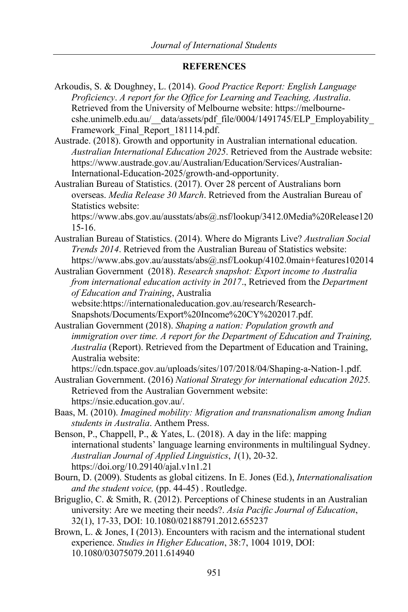# **REFERENCES**

Arkoudis, S. & Doughney, L. (2014). *Good Practice Report: English Language Proficiency*. *A report for the Office for Learning and Teaching, Australia*. Retrieved from the University of Melbourne website: https://melbournecshe.unimelb.edu.au/ data/assets/pdf\_file/0004/1491745/ELP\_Employability Framework Final Report 181114.pdf.

Austrade. (2018). Growth and opportunity in Australian international education. *Australian International Education 2025*. Retrieved from the Austrade website: https://www.austrade.gov.au/Australian/Education/Services/Australian-International-Education-2025/growth-and-opportunity.

Australian Bureau of Statistics. (2017). Over 28 percent of Australians born overseas. *Media Release 30 March*. Retrieved from the Australian Bureau of Statistics website:

https://www.abs.gov.au/ausstats/abs@.nsf/lookup/3412.0Media%20Release120 15-16.

- Australian Bureau of Statistics. (2014). Where do Migrants Live? *Australian Social Trends 2014*. Retrieved from the Australian Bureau of Statistics website: https://www.abs.gov.au/ausstats/abs@.nsf/Lookup/4102.0main+features102014
- Australian Government (2018). *Research snapshot: Export income to Australia from international education activity in 2017*., Retrieved from the *Department of Education and Training*, Australia website:https://internationaleducation.gov.au/research/Research-Snapshots/Documents/Export%20Income%20CY%202017.pdf.
- Australian Government (2018). *Shaping a nation: Population growth and immigration over time. A report for the Department of Education and Training, Australia* (Report). Retrieved from the Department of Education and Training, Australia website:

https://cdn.tspace.gov.au/uploads/sites/107/2018/04/Shaping-a-Nation-1.pdf.

Australian Government. (2016) *National Strategy for international education 2025.* Retrieved from the Australian Government website: https://nsie.education.gov.au/.

Baas, M. (2010). *Imagined mobility: Migration and transnationalism among Indian students in Australia*. Anthem Press.

- Benson, P., Chappell, P., & Yates, L. (2018). A day in the life: mapping international students' language learning environments in multilingual Sydney. *Australian Journal of Applied Linguistics*, *1*(1), 20-32. https://doi.org/10.29140/ajal.v1n1.21
- Bourn, D. (2009). Students as global citizens. In E. Jones (Ed.), *Internationalisation and the student voice,* (pp. 44-45) . Routledge.
- Briguglio, C. & Smith, R. (2012). Perceptions of Chinese students in an Australian university: Are we meeting their needs?. *Asia Pacific Journal of Education*, 32(1), 17-33, DOI: 10.1080/02188791.2012.655237
- Brown, L. & Jones, I (2013). Encounters with racism and the international student experience. *Studies in Higher Education*, 38:7, 1004 1019, DOI: 10.1080/03075079.2011.614940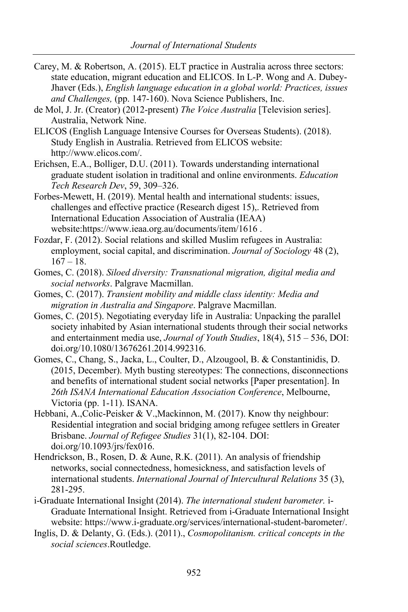- Carey, M. & Robertson, A. (2015). ELT practice in Australia across three sectors: state education, migrant education and ELICOS. In L-P. Wong and A. Dubey-Jhaver (Eds.), *English language education in a global world: Practices, issues and Challenges,* (pp. 147-160). Nova Science Publishers, Inc.
- de Mol, J. Jr. (Creator) (2012-present) *The Voice Australia* [Television series]. Australia, Network Nine.
- ELICOS (English Language Intensive Courses for Overseas Students). (2018). Study English in Australia. Retrieved from ELICOS website: http://www.elicos.com/.
- Erichsen, E.A., Bolliger, D.U. (2011). Towards understanding international graduate student isolation in traditional and online environments. *Education Tech Research Dev*, 59, 309–326.
- Forbes-Mewett, H. (2019). Mental health and international students: issues, challenges and effective practice (Research digest 15),. Retrieved from International Education Association of Australia (IEAA) website:https://www.ieaa.org.au/documents/item/1616 .
- Fozdar, F. (2012). Social relations and skilled Muslim refugees in Australia: employment, social capital, and discrimination. *Journal of Sociology* 48 (2),  $167 - 18.$
- Gomes, C. (2018). *Siloed diversity: Transnational migration, digital media and social networks*. Palgrave Macmillan.
- Gomes, C. (2017). *Transient mobility and middle class identity: Media and migration in Australia and Singapore*. Palgrave Macmillan.
- Gomes, C. (2015). Negotiating everyday life in Australia: Unpacking the parallel society inhabited by Asian international students through their social networks and entertainment media use, *Journal of Youth Studies*, 18(4), 515 – 536, DOI: doi.org/10.1080/13676261.2014.992316.
- Gomes, C., Chang, S., Jacka, L., Coulter, D., Alzougool, B. & Constantinidis, D. (2015, December). Myth busting stereotypes: The connections, disconnections and benefits of international student social networks [Paper presentation]. In *26th ISANA International Education Association Conference*, Melbourne, Victoria (pp. 1-11). ISANA.
- Hebbani, A.,Colic-Peisker & V.,Mackinnon, M. (2017). Know thy neighbour: Residential integration and social bridging among refugee settlers in Greater Brisbane. *Journal of Refugee Studies* 31(1), 82-104. DOI: doi.org/10.1093/jrs/fex016.
- Hendrickson, B., Rosen, D. & Aune, R.K. (2011). An analysis of friendship networks, social connectedness, homesickness, and satisfaction levels of international students. *International Journal of Intercultural Relations* 35 (3), 281-295.
- i-Graduate International Insight (2014). *The international student barometer.* i-Graduate International Insight. Retrieved from i-Graduate International Insight website: https://www.i-graduate.org/services/international-student-barometer/.
- Inglis, D. & Delanty, G. (Eds.). (2011)., *Cosmopolitanism. critical concepts in the social sciences*.Routledge.